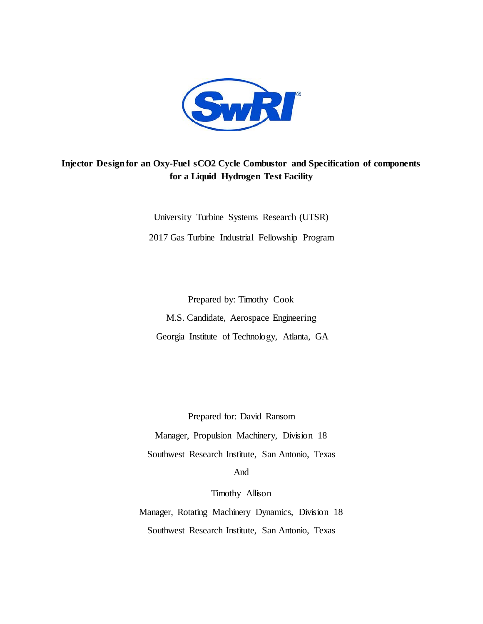

# **Injector Design for an Oxy-Fuel sCO2 Cycle Combustor and Specification of components for a Liquid Hydrogen Test Facility**

University Turbine Systems Research (UTSR) 2017 Gas Turbine Industrial Fellowship Program

Prepared by: Timothy Cook M.S. Candidate, Aerospace Engineering Georgia Institute of Technology, Atlanta, GA

Prepared for: David Ransom Manager, Propulsion Machinery, Division 18 Southwest Research Institute, San Antonio, Texas And

Timothy Allison

Manager, Rotating Machinery Dynamics, Division 18 Southwest Research Institute, San Antonio, Texas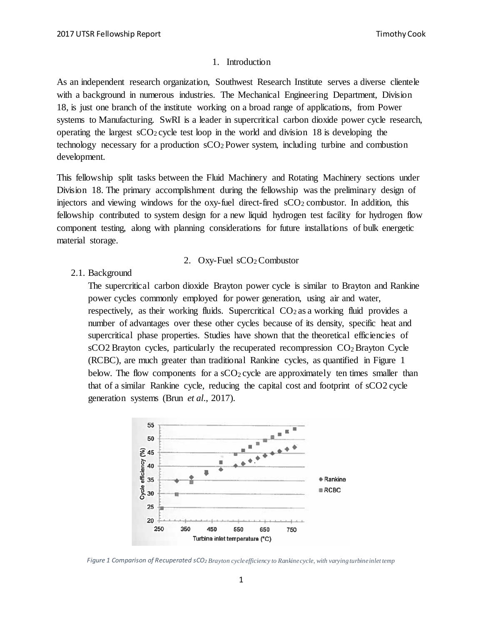#### 1. Introduction

As an independent research organization, Southwest Research Institute serves a diverse clientele with a background in numerous industries. The Mechanical Engineering Department, Division 18, is just one branch of the institute working on a broad range of applications, from Power systems to Manufacturing. SwRI is a leader in supercritical carbon dioxide power cycle research, operating the largest  $sCO<sub>2</sub>$  cycle test loop in the world and division 18 is developing the technology necessary for a production sCO2 Power system, including turbine and combustion development.

This fellowship split tasks between the Fluid Machinery and Rotating Machinery sections under Division 18. The primary accomplishment during the fellowship was the preliminary design of injectors and viewing windows for the oxy-fuel direct-fired  $\rm{sCO_2}$  combustor. In addition, this fellowship contributed to system design for a new liquid hydrogen test facility for hydrogen flow component testing, along with planning considerations for future installations of bulk energetic material storage.

#### 2. Oxy-Fuel sCO2 Combustor

2.1. Background

The supercritical carbon dioxide Brayton power cycle is similar to Brayton and Rankine power cycles commonly employed for power generation, using air and water, respectively, as their working fluids. Supercritical  $CO<sub>2</sub>$  as a working fluid provides a number of advantages over these other cycles because of its density, specific heat and supercritical phase properties. Studies have shown that the theoretical efficiencies of sCO2 Brayton cycles, particularly the recuperated recompression CO<sub>2</sub> Brayton Cycle (RCBC), are much greater than traditional Rankine cycles, as quantified in Figure 1 below. The flow components for a  $sCO<sub>2</sub>$  cycle are approximately ten times smaller than that of a similar Rankine cycle, reducing the capital cost and footprint of sCO2 cycle generation systems (Brun *et al*., 2017).



*Figure 1 Comparison of Recuperated sCO2 Brayton cycle efficiency to Rankine cycle, with varying turbine inlet temp*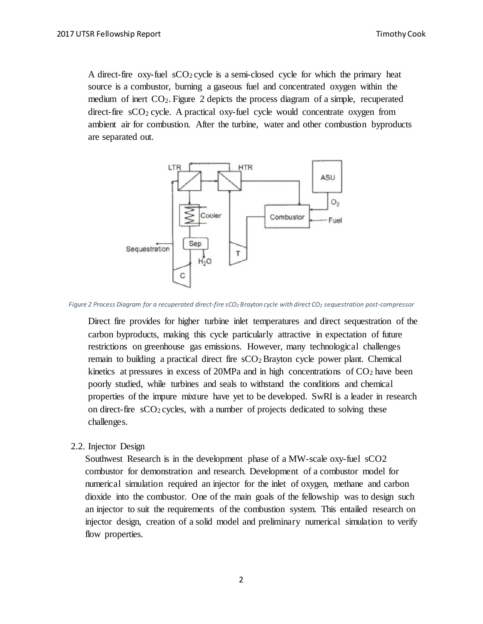A direct-fire oxy-fuel  $sCO<sub>2</sub>$  cycle is a semi-closed cycle for which the primary heat source is a combustor, burning a gaseous fuel and concentrated oxygen within the medium of inert CO2. Figure 2 depicts the process diagram of a simple, recuperated direct-fire  $\mathrm{sCO}_2$  cycle. A practical oxy-fuel cycle would concentrate oxygen from ambient air for combustion. After the turbine, water and other combustion byproducts are separated out.



*Figure 2 Process Diagram for a recuperated direct-fire sCO2 Brayton cycle with direct CO2 sequestration post-compressor*

Direct fire provides for higher turbine inlet temperatures and direct sequestration of the carbon byproducts, making this cycle particularly attractive in expectation of future restrictions on greenhouse gas emissions. However, many technological challenges remain to building a practical direct fire  $sCO<sub>2</sub>$  Brayton cycle power plant. Chemical kinetics at pressures in excess of 20MPa and in high concentrations of  $CO<sub>2</sub>$  have been poorly studied, while turbines and seals to withstand the conditions and chemical properties of the impure mixture have yet to be developed. SwRI is a leader in research on direct-fire  $\rm sCO_2$  cycles, with a number of projects dedicated to solving these challenges.

2.2. Injector Design

Southwest Research is in the development phase of a MW-scale oxy-fuel sCO2 combustor for demonstration and research. Development of a combustor model for numerical simulation required an injector for the inlet of oxygen, methane and carbon dioxide into the combustor. One of the main goals of the fellowship was to design such an injector to suit the requirements of the combustion system. This entailed research on injector design, creation of a solid model and preliminary numerical simulation to verify flow properties.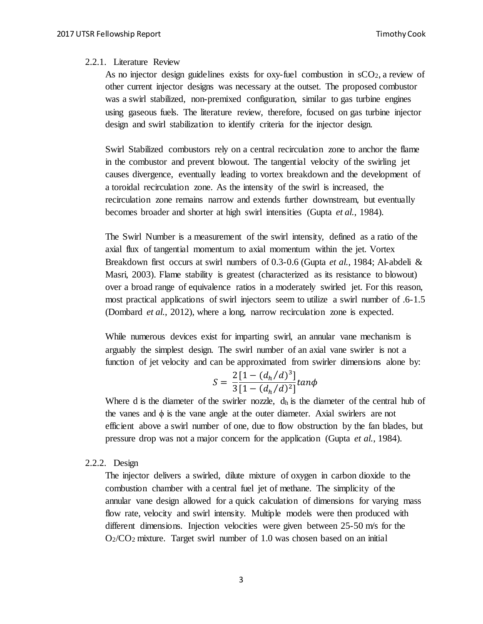### 2.2.1. Literature Review

As no injector design guidelines exists for oxy-fuel combustion in  $\mathcal{S}O_2$ , a review of other current injector designs was necessary at the outset. The proposed combustor was a swirl stabilized, non-premixed configuration, similar to gas turbine engines using gaseous fuels. The literature review, therefore, focused on gas turbine injector design and swirl stabilization to identify criteria for the injector design.

Swirl Stabilized combustors rely on a central recirculation zone to anchor the flame in the combustor and prevent blowout. The tangential velocity of the swirling jet causes divergence, eventually leading to vortex breakdown and the development of a toroidal recirculation zone. As the intensity of the swirl is increased, the recirculation zone remains narrow and extends further downstream, but eventually becomes broader and shorter at high swirl intensities (Gupta *et al.*, 1984).

The Swirl Number is a measurement of the swirl intensity, defined as a ratio of the axial flux of tangential momentum to axial momentum within the jet. Vortex Breakdown first occurs at swirl numbers of 0.3-0.6 (Gupta *et al.*, 1984; Al-abdeli & Masri, 2003). Flame stability is greatest (characterized as its resistance to blowout) over a broad range of equivalence ratios in a moderately swirled jet. For this reason, most practical applications of swirl injectors seem to utilize a swirl number of .6-1.5 (Dombard *et al.*, 2012), where a long, narrow recirculation zone is expected.

While numerous devices exist for imparting swirl, an annular vane mechanism is arguably the simplest design. The swirl number of an axial vane swirler is not a function of jet velocity and can be approximated from swirler dimensions alone by:

$$
S = \frac{2\left[1 - \left(d_h/d\right)^3\right]}{3\left[1 - \left(d_h/d\right)^2\right]} \tan\phi
$$

Where d is the diameter of the swirler nozzle,  $d<sub>h</sub>$  is the diameter of the central hub of the vanes and  $\phi$  is the vane angle at the outer diameter. Axial swirlers are not efficient above a swirl number of one, due to flow obstruction by the fan blades, but pressure drop was not a major concern for the application (Gupta *et al.*, 1984).

#### 2.2.2. Design

The injector delivers a swirled, dilute mixture of oxygen in carbon dioxide to the combustion chamber with a central fuel jet of methane. The simplicity of the annular vane design allowed for a quick calculation of dimensions for varying mass flow rate, velocity and swirl intensity. Multiple models were then produced with different dimensions. Injection velocities were given between 25-50 m/s for the  $O<sub>2</sub>/CO<sub>2</sub>$  mixture. Target swirl number of 1.0 was chosen based on an initial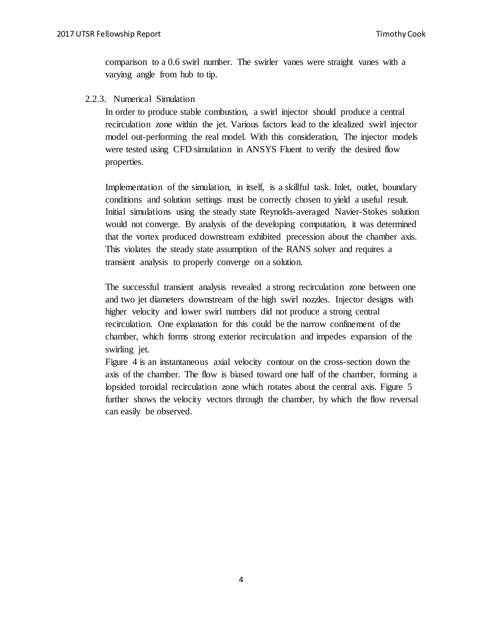comparison to a 0.6 swirl number. The swirler vanes were straight vanes with a varying angle from hub to tip.

2.2.3. Numerical Simulation

In order to produce stable combustion, a swirl injector should produce a central recirculation zone within the jet. Various factors lead to the idealized swirl injector model out-performing the real model. With this consideration, The injector models were tested using CFD simulation in ANSYS Fluent to verify the desired flow properties.

Implementation of the simulation, in itself, is a skillful task. Inlet, outlet, boundary conditions and solution settings must be correctly chosen to yield a useful result. Initial simulations using the steady state Reynolds-averaged Navier-Stokes solution would not converge. By analysis of the developing computation, it was determined that the vortex produced downstream exhibited precession about the chamber axis. This violates the steady state assumption of the RANS solver and requires a transient analysis to properly converge on a solution.

The successful transient analysis revealed a strong recirculation zone between one and two jet diameters downstream of the high swirl nozzles. Injector designs with higher velocity and lower swirl numbers did not produce a strong central recirculation. One explanation for this could be the narrow confinement of the chamber, which forms strong exterior recirculation and impedes expansion of the swirling jet.

Figure 4 is an instantaneous axial velocity contour on the cross-section down the axis of the chamber. The flow is biased toward one half of the chamber, forming a lopsided toroidal recirculation zone which rotates about the central axis. Figure 5 further shows the velocity vectors through the chamber, by which the flow reversal can easily be observed.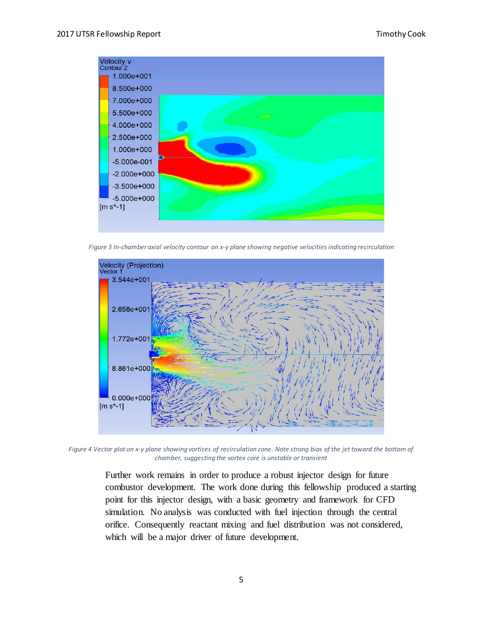

*Figure 3 In-chamber axial velocity contour on x-y plane showing negative velocities indicating recirculation*



*Figure 4 Vector plot on x-y plane showing vortices of recirculation zone. Note strong bias of the jet toward the bottom of chamber, suggesting the vortex core is unstable or transient* 

Further work remains in order to produce a robust injector design for future combustor development. The work done during this fellowship produced a starting point for this injector design, with a basic geometry and framework for CFD simulation. No analysis was conducted with fuel injection through the central orifice. Consequently reactant mixing and fuel distribution was not considered, which will be a major driver of future development.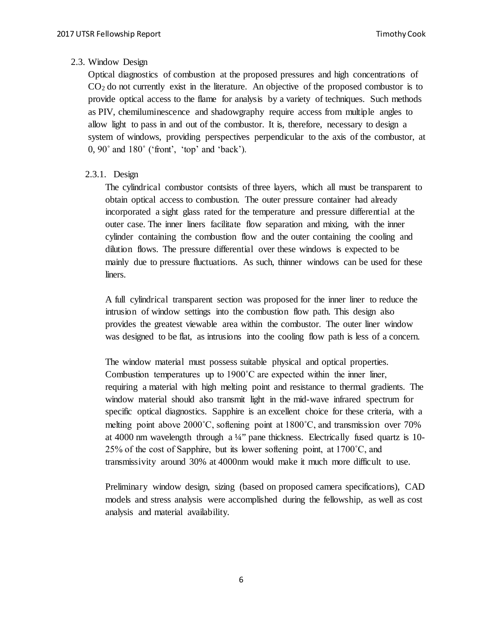# 2.3. Window Design

Optical diagnostics of combustion at the proposed pressures and high concentrations of CO2 do not currently exist in the literature. An objective of the proposed combustor is to provide optical access to the flame for analysis by a variety of techniques. Such methods as PIV, chemiluminescence and shadowgraphy require access from multiple angles to allow light to pass in and out of the combustor. It is, therefore, necessary to design a system of windows, providing perspectives perpendicular to the axis of the combustor, at 0, 90˚ and 180˚ ('front', 'top' and 'back').

# 2.3.1. Design

The cylindrical combustor contsists of three layers, which all must be transparent to obtain optical access to combustion. The outer pressure container had already incorporated a sight glass rated for the temperature and pressure differential at the outer case. The inner liners facilitate flow separation and mixing, with the inner cylinder containing the combustion flow and the outer containing the cooling and dilution flows. The pressure differential over these windows is expected to be mainly due to pressure fluctuations. As such, thinner windows can be used for these liners.

A full cylindrical transparent section was proposed for the inner liner to reduce the intrusion of window settings into the combustion flow path. This design also provides the greatest viewable area within the combustor. The outer liner window was designed to be flat, as intrusions into the cooling flow path is less of a concern.

The window material must possess suitable physical and optical properties. Combustion temperatures up to 1900˚C are expected within the inner liner, requiring a material with high melting point and resistance to thermal gradients. The window material should also transmit light in the mid-wave infrared spectrum for specific optical diagnostics. Sapphire is an excellent choice for these criteria, with a melting point above 2000˚C, softening point at 1800˚C, and transmission over 70% at 4000 nm wavelength through a  $\frac{1}{4}$ " pane thickness. Electrically fused quartz is 10-25% of the cost of Sapphire, but its lower softening point, at  $1700^{\circ}$ C, and transmissivity around 30% at 4000nm would make it much more difficult to use.

Preliminary window design, sizing (based on proposed camera specifications), CAD models and stress analysis were accomplished during the fellowship, as well as cost analysis and material availability.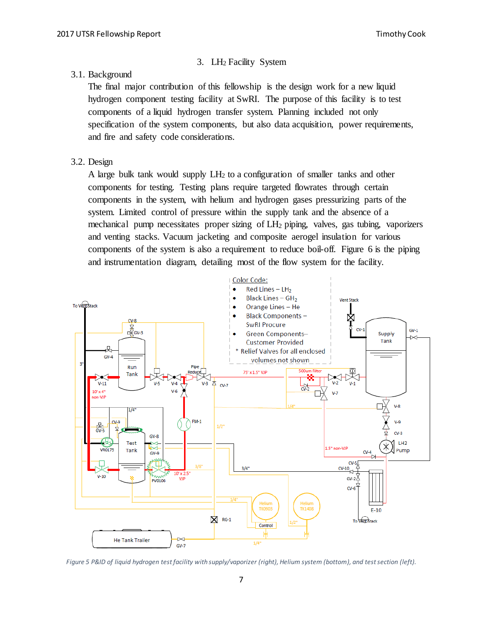# 3. LH2 Facility System

### 3.1. Background

The final major contribution of this fellowship is the design work for a new liquid hydrogen component testing facility at SwRI. The purpose of this facility is to test components of a liquid hydrogen transfer system. Planning included not only specification of the system components, but also data acquisition, power requirements, and fire and safety code considerations.

### 3.2. Design

A large bulk tank would supply  $LH_2$  to a configuration of smaller tanks and other components for testing. Testing plans require targeted flowrates through certain components in the system, with helium and hydrogen gases pressurizing parts of the system. Limited control of pressure within the supply tank and the absence of a mechanical pump necessitates proper sizing of LH2 piping, valves, gas tubing, vaporizers and venting stacks. Vacuum jacketing and composite aerogel insulation for various components of the system is also a requirement to reduce boil-off. Figure 6 is the piping and instrumentation diagram, detailing most of the flow system for the facility.



*Figure 5 P&ID of liquid hydrogen test facility with supply/vaporizer (right), Helium system (bottom), and test section (left).*